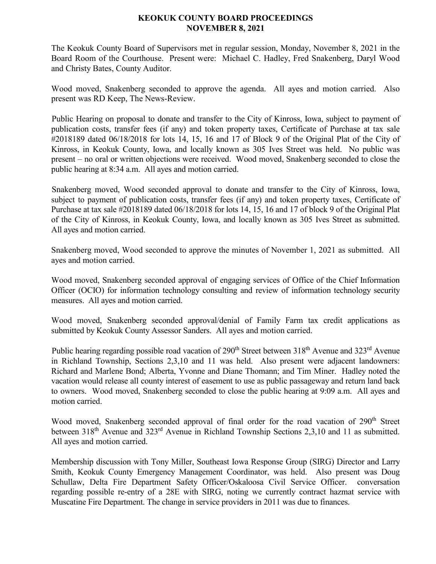## **KEOKUK COUNTY BOARD PROCEEDINGS NOVEMBER 8, 2021**

The Keokuk County Board of Supervisors met in regular session, Monday, November 8, 2021 in the Board Room of the Courthouse. Present were: Michael C. Hadley, Fred Snakenberg, Daryl Wood and Christy Bates, County Auditor.

Wood moved, Snakenberg seconded to approve the agenda. All ayes and motion carried. Also present was RD Keep, The News-Review.

Public Hearing on proposal to donate and transfer to the City of Kinross, Iowa, subject to payment of publication costs, transfer fees (if any) and token property taxes, Certificate of Purchase at tax sale #2018189 dated 06/18/2018 for lots 14, 15, 16 and 17 of Block 9 of the Original Plat of the City of Kinross, in Keokuk County, Iowa, and locally known as 305 Ives Street was held. No public was present – no oral or written objections were received. Wood moved, Snakenberg seconded to close the public hearing at 8:34 a.m. All ayes and motion carried.

Snakenberg moved, Wood seconded approval to donate and transfer to the City of Kinross, Iowa, subject to payment of publication costs, transfer fees (if any) and token property taxes, Certificate of Purchase at tax sale #2018189 dated 06/18/2018 for lots 14, 15, 16 and 17 of block 9 of the Original Plat of the City of Kinross, in Keokuk County, Iowa, and locally known as 305 Ives Street as submitted. All ayes and motion carried.

Snakenberg moved, Wood seconded to approve the minutes of November 1, 2021 as submitted. All ayes and motion carried.

Wood moved, Snakenberg seconded approval of engaging services of Office of the Chief Information Officer (OCIO) for information technology consulting and review of information technology security measures. All ayes and motion carried.

Wood moved, Snakenberg seconded approval/denial of Family Farm tax credit applications as submitted by Keokuk County Assessor Sanders. All ayes and motion carried.

Public hearing regarding possible road vacation of 290<sup>th</sup> Street between 318<sup>th</sup> Avenue and 323<sup>rd</sup> Avenue in Richland Township, Sections 2,3,10 and 11 was held. Also present were adjacent landowners: Richard and Marlene Bond; Alberta, Yvonne and Diane Thomann; and Tim Miner. Hadley noted the vacation would release all county interest of easement to use as public passageway and return land back to owners. Wood moved, Snakenberg seconded to close the public hearing at 9:09 a.m. All ayes and motion carried.

Wood moved, Snakenberg seconded approval of final order for the road vacation of 290<sup>th</sup> Street between 318<sup>th</sup> Avenue and 323<sup>rd</sup> Avenue in Richland Township Sections 2,3,10 and 11 as submitted. All ayes and motion carried.

Membership discussion with Tony Miller, Southeast Iowa Response Group (SIRG) Director and Larry Smith, Keokuk County Emergency Management Coordinator, was held. Also present was Doug Schullaw, Delta Fire Department Safety Officer/Oskaloosa Civil Service Officer. conversation regarding possible re-entry of a 28E with SIRG, noting we currently contract hazmat service with Muscatine Fire Department. The change in service providers in 2011 was due to finances.